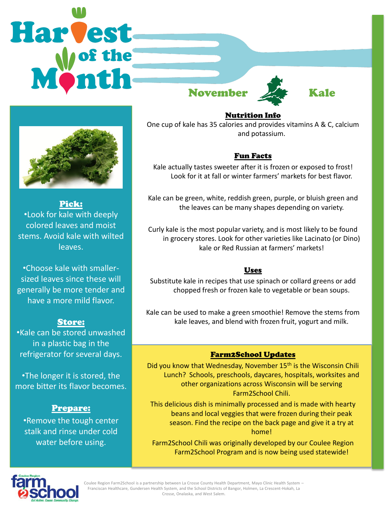



Pick: •Look for kale with deeply colored leaves and moist stems. Avoid kale with wilted leaves.

•Choose kale with smallersized leaves since these will generally be more tender and have a more mild flavor.

## Store:

•Kale can be stored unwashed in a plastic bag in the refrigerator for several days.

•The longer it is stored, the more bitter its flavor becomes.

## Prepare:

•Remove the tough center stalk and rinse under cold water before using.



## Nutrition Info

One cup of kale has 35 calories and provides vitamins A & C, calcium and potassium.

## Fun Facts

Kale actually tastes sweeter after it is frozen or exposed to frost! Look for it at fall or winter farmers' markets for best flavor.

Kale can be green, white, reddish green, purple, or bluish green and the leaves can be many shapes depending on variety.

Curly kale is the most popular variety, and is most likely to be found in grocery stores. Look for other varieties like Lacinato (or Dino) kale or Red Russian at farmers' markets!

### Uses

Substitute kale in recipes that use spinach or collard greens or add chopped fresh or frozen kale to vegetable or bean soups.

Kale can be used to make a green smoothie! Remove the stems from kale leaves, and blend with frozen fruit, yogurt and milk.

## Farm2School Updates

Did you know that Wednesday, November 15<sup>th</sup> is the Wisconsin Chili Lunch? Schools, preschools, daycares, hospitals, worksites and other organizations across Wisconsin will be serving Farm2School Chili.

This delicious dish is minimally processed and is made with hearty beans and local veggies that were frozen during their peak season. Find the recipe on the back page and give it a try at home!

Farm2School Chili was originally developed by our Coulee Region Farm2School Program and is now being used statewide!



Coulee Region Farm2School is a partnership between La Crosse County Health Department, Mayo Clinic Health System – Franciscan Healthcare, Gundersen Health System, and the School Districts of Bangor, Holmen, La Crescent-Hokah, La Crosse, Onalaska, and West Salem.